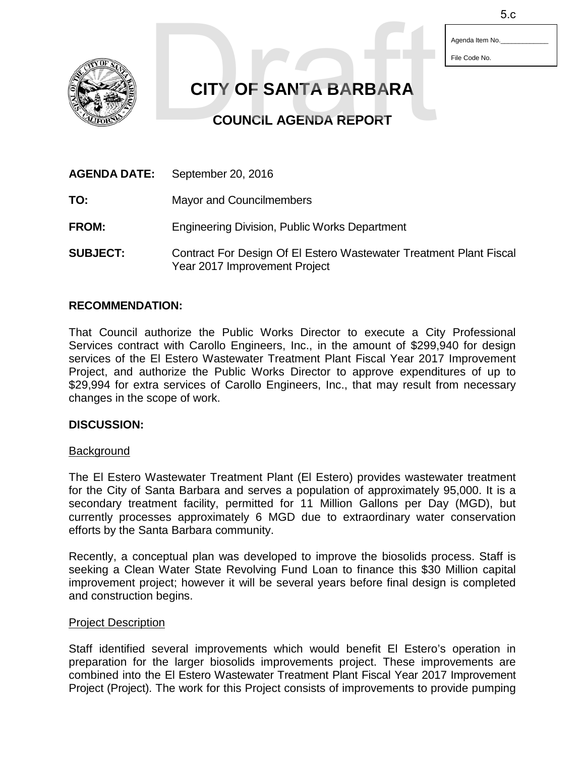Agenda Item No. File Code No.

**CITY OF SANTA BARBARA** 5.c

**COUNCIL AGENDA REPORT**

| <b>AGENDA DATE:</b> | September 20, 2016                                                                                  |
|---------------------|-----------------------------------------------------------------------------------------------------|
| TO:                 | Mayor and Councilmembers                                                                            |
| <b>FROM:</b>        | <b>Engineering Division, Public Works Department</b>                                                |
| <b>SUBJECT:</b>     | Contract For Design Of El Estero Wastewater Treatment Plant Fiscal<br>Year 2017 Improvement Project |

# **RECOMMENDATION:**

That Council authorize the Public Works Director to execute a City Professional Services contract with Carollo Engineers, Inc., in the amount of \$299,940 for design services of the El Estero Wastewater Treatment Plant Fiscal Year 2017 Improvement Project, and authorize the Public Works Director to approve expenditures of up to \$29,994 for extra services of Carollo Engineers, Inc., that may result from necessary changes in the scope of work.

## **DISCUSSION:**

## **Background**

The El Estero Wastewater Treatment Plant (El Estero) provides wastewater treatment for the City of Santa Barbara and serves a population of approximately 95,000. It is a secondary treatment facility, permitted for 11 Million Gallons per Day (MGD), but currently processes approximately 6 MGD due to extraordinary water conservation efforts by the Santa Barbara community.

Recently, a conceptual plan was developed to improve the biosolids process. Staff is seeking a Clean Water State Revolving Fund Loan to finance this \$30 Million capital improvement project; however it will be several years before final design is completed and construction begins.

## Project Description

Staff identified several improvements which would benefit El Estero's operation in preparation for the larger biosolids improvements project. These improvements are combined into the El Estero Wastewater Treatment Plant Fiscal Year 2017 Improvement Project (Project). The work for this Project consists of improvements to provide pumping